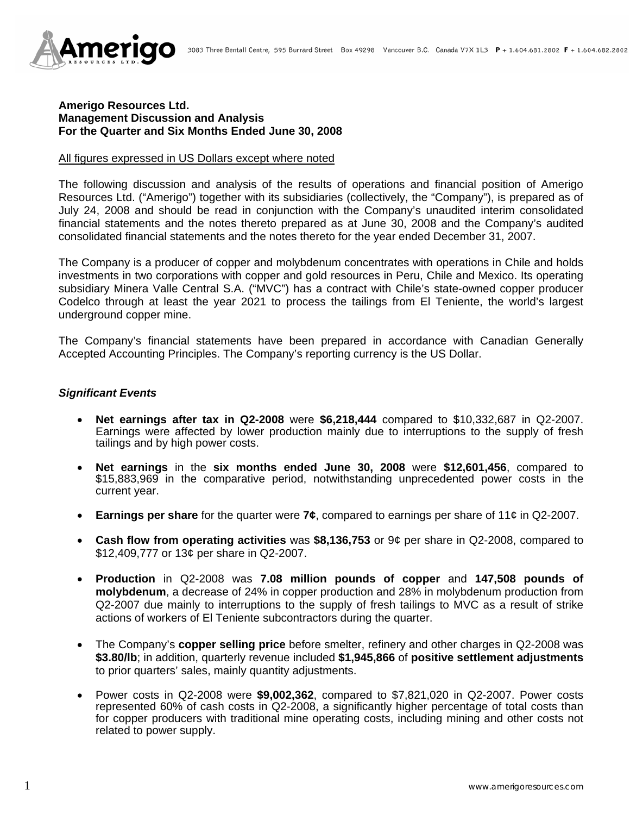

### **Amerigo Resources Ltd. Management Discussion and Analysis For the Quarter and Six Months Ended June 30, 2008**

#### All figures expressed in US Dollars except where noted

The following discussion and analysis of the results of operations and financial position of Amerigo Resources Ltd. ("Amerigo") together with its subsidiaries (collectively, the "Company"), is prepared as of July 24, 2008 and should be read in conjunction with the Company's unaudited interim consolidated financial statements and the notes thereto prepared as at June 30, 2008 and the Company's audited consolidated financial statements and the notes thereto for the year ended December 31, 2007.

The Company is a producer of copper and molybdenum concentrates with operations in Chile and holds investments in two corporations with copper and gold resources in Peru, Chile and Mexico. Its operating subsidiary Minera Valle Central S.A. ("MVC") has a contract with Chile's state-owned copper producer Codelco through at least the year 2021 to process the tailings from El Teniente, the world's largest underground copper mine.

The Company's financial statements have been prepared in accordance with Canadian Generally Accepted Accounting Principles. The Company's reporting currency is the US Dollar.

### *Significant Events*

- **Net earnings after tax in Q2-2008** were **\$6,218,444** compared to \$10,332,687 in Q2-2007. Earnings were affected by lower production mainly due to interruptions to the supply of fresh tailings and by high power costs.
- **Net earnings** in the **six months ended June 30, 2008** were **\$12,601,456**, compared to \$15,883,969 in the comparative period, notwithstanding unprecedented power costs in the current year.
- **Earnings per share** for the quarter were **7¢**, compared to earnings per share of 11¢ in Q2-2007.
- **Cash flow from operating activities** was **\$8,136,753** or 9¢ per share in Q2-2008, compared to \$12,409,777 or 13¢ per share in Q2-2007.
- **Production** in Q2-2008 was **7.08 million pounds of copper** and **147,508 pounds of molybdenum**, a decrease of 24% in copper production and 28% in molybdenum production from Q2-2007 due mainly to interruptions to the supply of fresh tailings to MVC as a result of strike actions of workers of El Teniente subcontractors during the quarter.
- The Company's **copper selling price** before smelter, refinery and other charges in Q2-2008 was **\$3.80/lb**; in addition, quarterly revenue included **\$1,945,866** of **positive settlement adjustments** to prior quarters' sales, mainly quantity adjustments.
- Power costs in Q2-2008 were **\$9,002,362**, compared to \$7,821,020 in Q2-2007. Power costs represented 60% of cash costs in Q2-2008, a significantly higher percentage of total costs than for copper producers with traditional mine operating costs, including mining and other costs not related to power supply.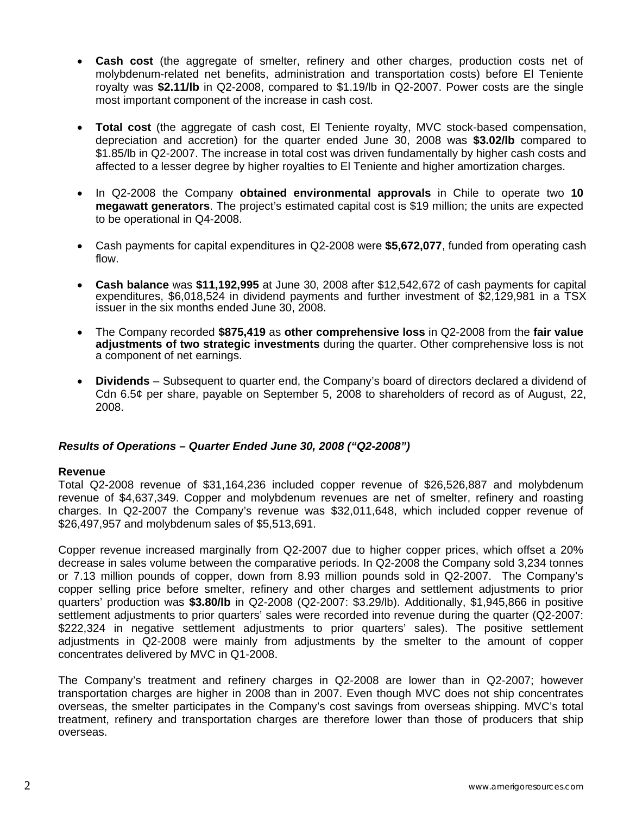- **Cash cost** (the aggregate of smelter, refinery and other charges, production costs net of molybdenum-related net benefits, administration and transportation costs) before El Teniente royalty was **\$2.11/lb** in Q2-2008, compared to \$1.19/lb in Q2-2007. Power costs are the single most important component of the increase in cash cost.
- **Total cost** (the aggregate of cash cost, El Teniente royalty, MVC stock-based compensation, depreciation and accretion) for the quarter ended June 30, 2008 was **\$3.02/lb** compared to \$1.85/lb in Q2-2007. The increase in total cost was driven fundamentally by higher cash costs and affected to a lesser degree by higher royalties to El Teniente and higher amortization charges.
- In Q2-2008 the Company **obtained environmental approvals** in Chile to operate two **10 megawatt generators**. The project's estimated capital cost is \$19 million; the units are expected to be operational in Q4-2008.
- Cash payments for capital expenditures in Q2-2008 were **\$5,672,077**, funded from operating cash flow.
- **Cash balance** was **\$11,192,995** at June 30, 2008 after \$12,542,672 of cash payments for capital expenditures, \$6,018,524 in dividend payments and further investment of \$2,129,981 in a TSX issuer in the six months ended June 30, 2008.
- The Company recorded **\$875,419** as **other comprehensive loss** in Q2-2008 from the **fair value adjustments of two strategic investments** during the quarter. Other comprehensive loss is not a component of net earnings.
- **Dividends**  Subsequent to quarter end, the Company's board of directors declared a dividend of Cdn 6.5¢ per share, payable on September 5, 2008 to shareholders of record as of August, 22, 2008.

# *Results of Operations – Quarter Ended June 30, 2008 ("Q2-2008")*

### **Revenue**

Total Q2-2008 revenue of \$31,164,236 included copper revenue of \$26,526,887 and molybdenum revenue of \$4,637,349. Copper and molybdenum revenues are net of smelter, refinery and roasting charges. In Q2-2007 the Company's revenue was \$32,011,648, which included copper revenue of \$26,497,957 and molybdenum sales of \$5,513,691.

Copper revenue increased marginally from Q2-2007 due to higher copper prices, which offset a 20% decrease in sales volume between the comparative periods. In Q2-2008 the Company sold 3,234 tonnes or 7.13 million pounds of copper, down from 8.93 million pounds sold in Q2-2007. The Company's copper selling price before smelter, refinery and other charges and settlement adjustments to prior quarters' production was **\$3.80/lb** in Q2-2008 (Q2-2007: \$3.29/lb). Additionally, \$1,945,866 in positive settlement adjustments to prior quarters' sales were recorded into revenue during the quarter (Q2-2007: \$222,324 in negative settlement adjustments to prior quarters' sales). The positive settlement adjustments in Q2-2008 were mainly from adjustments by the smelter to the amount of copper concentrates delivered by MVC in Q1-2008.

The Company's treatment and refinery charges in Q2-2008 are lower than in Q2-2007; however transportation charges are higher in 2008 than in 2007. Even though MVC does not ship concentrates overseas, the smelter participates in the Company's cost savings from overseas shipping. MVC's total treatment, refinery and transportation charges are therefore lower than those of producers that ship overseas.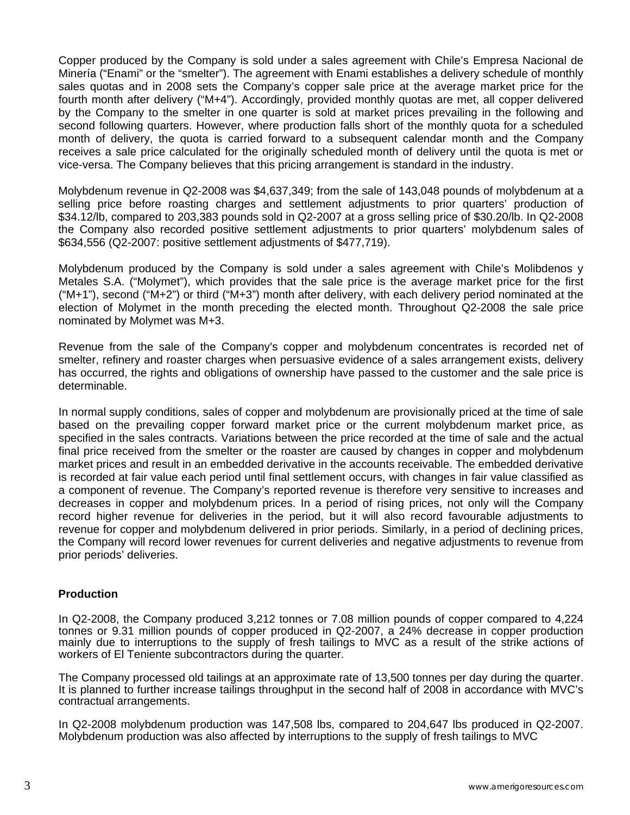Copper produced by the Company is sold under a sales agreement with Chile's Empresa Nacional de Minería ("Enami" or the "smelter"). The agreement with Enami establishes a delivery schedule of monthly sales quotas and in 2008 sets the Company's copper sale price at the average market price for the fourth month after delivery ("M+4"). Accordingly, provided monthly quotas are met, all copper delivered by the Company to the smelter in one quarter is sold at market prices prevailing in the following and second following quarters. However, where production falls short of the monthly quota for a scheduled month of delivery, the quota is carried forward to a subsequent calendar month and the Company receives a sale price calculated for the originally scheduled month of delivery until the quota is met or vice-versa. The Company believes that this pricing arrangement is standard in the industry.

Molybdenum revenue in Q2-2008 was \$4,637,349; from the sale of 143,048 pounds of molybdenum at a selling price before roasting charges and settlement adjustments to prior quarters' production of \$34.12/lb, compared to 203,383 pounds sold in Q2-2007 at a gross selling price of \$30.20/lb. In Q2-2008 the Company also recorded positive settlement adjustments to prior quarters' molybdenum sales of \$634,556 (Q2-2007: positive settlement adjustments of \$477,719).

Molybdenum produced by the Company is sold under a sales agreement with Chile's Molibdenos y Metales S.A. ("Molymet"), which provides that the sale price is the average market price for the first  $("M+1")$ , second  $("M+2")$  or third  $("M+3")$  month after delivery, with each delivery period nominated at the election of Molymet in the month preceding the elected month. Throughout Q2-2008 the sale price nominated by Molymet was M+3.

Revenue from the sale of the Company's copper and molybdenum concentrates is recorded net of smelter, refinery and roaster charges when persuasive evidence of a sales arrangement exists, delivery has occurred, the rights and obligations of ownership have passed to the customer and the sale price is determinable.

In normal supply conditions, sales of copper and molybdenum are provisionally priced at the time of sale based on the prevailing copper forward market price or the current molybdenum market price, as specified in the sales contracts. Variations between the price recorded at the time of sale and the actual final price received from the smelter or the roaster are caused by changes in copper and molybdenum market prices and result in an embedded derivative in the accounts receivable. The embedded derivative is recorded at fair value each period until final settlement occurs, with changes in fair value classified as a component of revenue. The Company's reported revenue is therefore very sensitive to increases and decreases in copper and molybdenum prices. In a period of rising prices, not only will the Company record higher revenue for deliveries in the period, but it will also record favourable adjustments to revenue for copper and molybdenum delivered in prior periods. Similarly, in a period of declining prices, the Company will record lower revenues for current deliveries and negative adjustments to revenue from prior periods' deliveries.

### **Production**

In Q2-2008, the Company produced 3,212 tonnes or 7.08 million pounds of copper compared to 4,224 tonnes or 9.31 million pounds of copper produced in Q2-2007, a 24% decrease in copper production mainly due to interruptions to the supply of fresh tailings to MVC as a result of the strike actions of workers of El Teniente subcontractors during the quarter.

The Company processed old tailings at an approximate rate of 13,500 tonnes per day during the quarter. It is planned to further increase tailings throughput in the second half of 2008 in accordance with MVC's contractual arrangements.

In Q2-2008 molybdenum production was 147,508 lbs, compared to 204,647 lbs produced in Q2-2007. Molybdenum production was also affected by interruptions to the supply of fresh tailings to MVC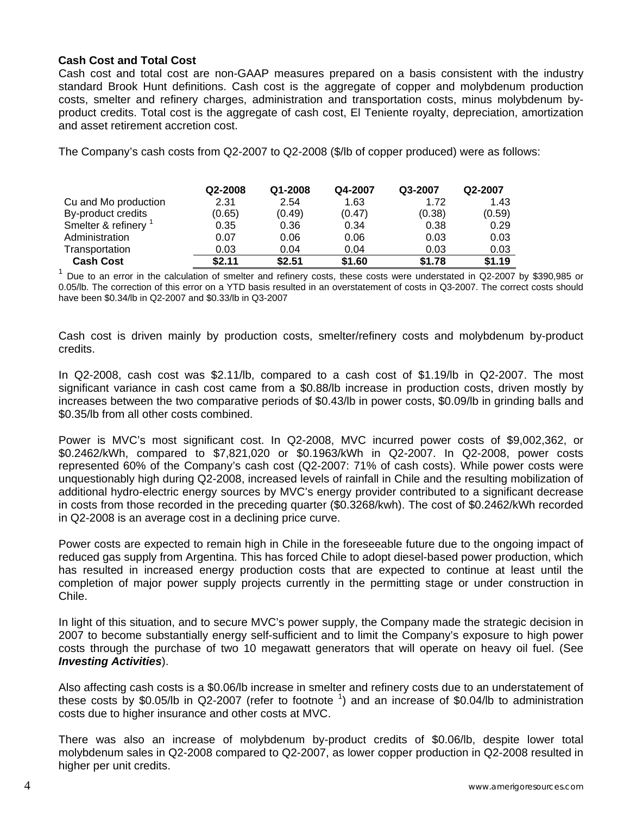## **Cash Cost and Total Cost**

Cash cost and total cost are non-GAAP measures prepared on a basis consistent with the industry standard Brook Hunt definitions. Cash cost is the aggregate of copper and molybdenum production costs, smelter and refinery charges, administration and transportation costs, minus molybdenum byproduct credits. Total cost is the aggregate of cash cost, El Teniente royalty, depreciation, amortization and asset retirement accretion cost.

The Company's cash costs from Q2-2007 to Q2-2008 (\$/lb of copper produced) were as follows:

|                      | Q2-2008 | Q1-2008 | Q4-2007 | Q3-2007 | Q2-2007 |
|----------------------|---------|---------|---------|---------|---------|
| Cu and Mo production | 2.31    | 2.54    | 1.63    | 1.72    | 1.43    |
| By-product credits   | (0.65)  | (0.49)  | (0.47)  | (0.38)  | (0.59)  |
| Smelter & refinery   | 0.35    | 0.36    | 0.34    | 0.38    | 0.29    |
| Administration       | 0.07    | 0.06    | 0.06    | 0.03    | 0.03    |
| Transportation       | 0.03    | 0.04    | 0.04    | 0.03    | 0.03    |
| <b>Cash Cost</b>     | \$2.11  | \$2.51  | \$1.60  | \$1.78  | \$1.19  |

 $1$  Due to an error in the calculation of smelter and refinery costs, these costs were understated in Q2-2007 by \$390,985 or 0.05/lb. The correction of this error on a YTD basis resulted in an overstatement of costs in Q3-2007. The correct costs should have been \$0.34/lb in Q2-2007 and \$0.33/lb in Q3-2007

Cash cost is driven mainly by production costs, smelter/refinery costs and molybdenum by-product credits.

In Q2-2008, cash cost was \$2.11/lb, compared to a cash cost of \$1.19/lb in Q2-2007. The most significant variance in cash cost came from a \$0.88/lb increase in production costs, driven mostly by increases between the two comparative periods of \$0.43/lb in power costs, \$0.09/lb in grinding balls and \$0.35/lb from all other costs combined.

Power is MVC's most significant cost. In Q2-2008, MVC incurred power costs of \$9,002,362, or \$0.2462/kWh, compared to \$7,821,020 or \$0.1963/kWh in Q2-2007. In Q2-2008, power costs represented 60% of the Company's cash cost (Q2-2007: 71% of cash costs). While power costs were unquestionably high during Q2-2008, increased levels of rainfall in Chile and the resulting mobilization of additional hydro-electric energy sources by MVC's energy provider contributed to a significant decrease in costs from those recorded in the preceding quarter (\$0.3268/kwh). The cost of \$0.2462/kWh recorded in Q2-2008 is an average cost in a declining price curve.

Power costs are expected to remain high in Chile in the foreseeable future due to the ongoing impact of reduced gas supply from Argentina. This has forced Chile to adopt diesel-based power production, which has resulted in increased energy production costs that are expected to continue at least until the completion of major power supply projects currently in the permitting stage or under construction in Chile.

In light of this situation, and to secure MVC's power supply, the Company made the strategic decision in 2007 to become substantially energy self-sufficient and to limit the Company's exposure to high power costs through the purchase of two 10 megawatt generators that will operate on heavy oil fuel. (See *Investing Activities*).

Also affecting cash costs is a \$0.06/lb increase in smelter and refinery costs due to an understatement of these costs by \$0.05/lb in Q2-2007 (refer to footnote  $\frac{1}{1}$ ) and an increase of \$0.04/lb to administration costs due to higher insurance and other costs at MVC.

There was also an increase of molybdenum by-product credits of \$0.06/lb, despite lower total molybdenum sales in Q2-2008 compared to Q2-2007, as lower copper production in Q2-2008 resulted in higher per unit credits.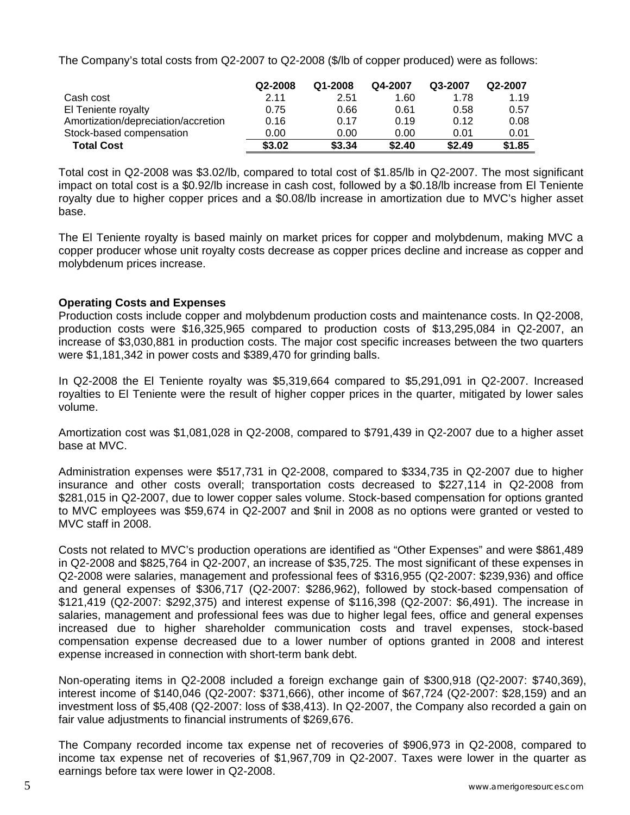The Company's total costs from Q2-2007 to Q2-2008 (\$/lb of copper produced) were as follows:

|                                     | Q2-2008 | Q1-2008 | Q4-2007 | Q3-2007 | Q2-2007 |
|-------------------------------------|---------|---------|---------|---------|---------|
| Cash cost                           | 2.11    | 2.51    | 1.60    | 1.78    | 1.19    |
| El Teniente royalty                 | 0.75    | 0.66    | 0.61    | 0.58    | 0.57    |
| Amortization/depreciation/accretion | 0.16    | 0.17    | 0.19    | 0.12    | 0.08    |
| Stock-based compensation            | 0.00    | 0.00    | 0.00    | 0.01    | 0.01    |
| <b>Total Cost</b>                   | \$3.02  | \$3.34  | \$2.40  | \$2.49  | \$1.85  |

Total cost in Q2-2008 was \$3.02/lb, compared to total cost of \$1.85/lb in Q2-2007. The most significant impact on total cost is a \$0.92/lb increase in cash cost, followed by a \$0.18/lb increase from El Teniente royalty due to higher copper prices and a \$0.08/lb increase in amortization due to MVC's higher asset base.

The El Teniente royalty is based mainly on market prices for copper and molybdenum, making MVC a copper producer whose unit royalty costs decrease as copper prices decline and increase as copper and molybdenum prices increase.

# **Operating Costs and Expenses**

Production costs include copper and molybdenum production costs and maintenance costs. In Q2-2008, production costs were \$16,325,965 compared to production costs of \$13,295,084 in Q2-2007, an increase of \$3,030,881 in production costs. The major cost specific increases between the two quarters were \$1,181,342 in power costs and \$389,470 for grinding balls.

In Q2-2008 the El Teniente royalty was \$5,319,664 compared to \$5,291,091 in Q2-2007. Increased royalties to El Teniente were the result of higher copper prices in the quarter, mitigated by lower sales volume.

Amortization cost was \$1,081,028 in Q2-2008, compared to \$791,439 in Q2-2007 due to a higher asset base at MVC.

Administration expenses were \$517,731 in Q2-2008, compared to \$334,735 in Q2-2007 due to higher insurance and other costs overall; transportation costs decreased to \$227,114 in Q2-2008 from \$281,015 in Q2-2007, due to lower copper sales volume. Stock-based compensation for options granted to MVC employees was \$59,674 in Q2-2007 and \$nil in 2008 as no options were granted or vested to MVC staff in 2008.

Costs not related to MVC's production operations are identified as "Other Expenses" and were \$861,489 in Q2-2008 and \$825,764 in Q2-2007, an increase of \$35,725. The most significant of these expenses in Q2-2008 were salaries, management and professional fees of \$316,955 (Q2-2007: \$239,936) and office and general expenses of \$306,717 (Q2-2007: \$286,962), followed by stock-based compensation of \$121,419 (Q2-2007: \$292,375) and interest expense of \$116,398 (Q2-2007: \$6,491). The increase in salaries, management and professional fees was due to higher legal fees, office and general expenses increased due to higher shareholder communication costs and travel expenses, stock-based compensation expense decreased due to a lower number of options granted in 2008 and interest expense increased in connection with short-term bank debt.

Non-operating items in Q2-2008 included a foreign exchange gain of \$300,918 (Q2-2007: \$740,369), interest income of \$140,046 (Q2-2007: \$371,666), other income of \$67,724 (Q2-2007: \$28,159) and an investment loss of \$5,408 (Q2-2007: loss of \$38,413). In Q2-2007, the Company also recorded a gain on fair value adjustments to financial instruments of \$269,676.

The Company recorded income tax expense net of recoveries of \$906,973 in Q2-2008, compared to income tax expense net of recoveries of \$1,967,709 in Q2-2007. Taxes were lower in the quarter as earnings before tax were lower in Q2-2008.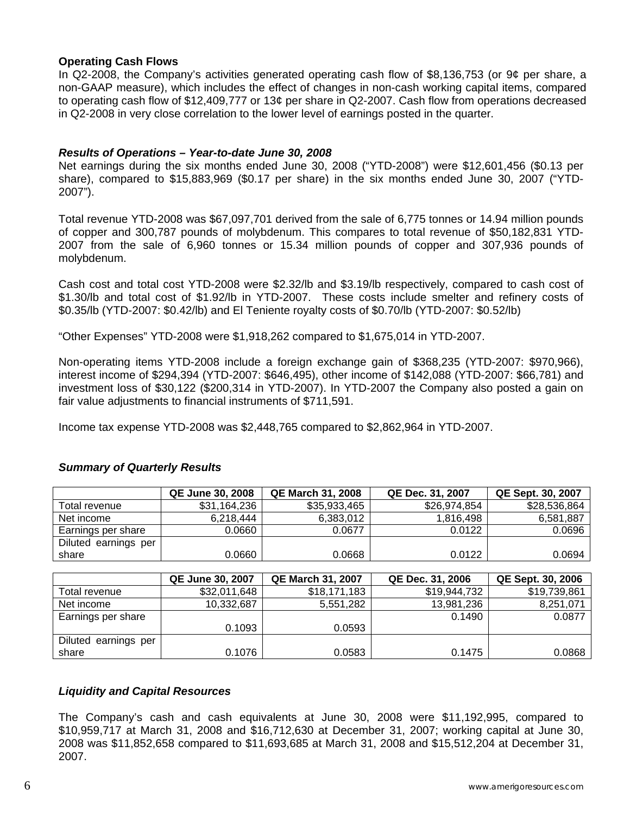## **Operating Cash Flows**

In Q2-2008, the Company's activities generated operating cash flow of \$8,136,753 (or 9¢ per share, a non-GAAP measure), which includes the effect of changes in non-cash working capital items, compared to operating cash flow of \$12,409,777 or 13¢ per share in Q2-2007. Cash flow from operations decreased in Q2-2008 in very close correlation to the lower level of earnings posted in the quarter.

## *Results of Operations – Year-to-date June 30, 2008*

Net earnings during the six months ended June 30, 2008 ("YTD-2008") were \$12,601,456 (\$0.13 per share), compared to \$15,883,969 (\$0.17 per share) in the six months ended June 30, 2007 ("YTD-2007").

Total revenue YTD-2008 was \$67,097,701 derived from the sale of 6,775 tonnes or 14.94 million pounds of copper and 300,787 pounds of molybdenum. This compares to total revenue of \$50,182,831 YTD-2007 from the sale of 6,960 tonnes or 15.34 million pounds of copper and 307,936 pounds of molybdenum.

Cash cost and total cost YTD-2008 were \$2.32/lb and \$3.19/lb respectively, compared to cash cost of \$1.30/lb and total cost of \$1.92/lb in YTD-2007. These costs include smelter and refinery costs of \$0.35/lb (YTD-2007: \$0.42/lb) and El Teniente royalty costs of \$0.70/lb (YTD-2007: \$0.52/lb)

"Other Expenses" YTD-2008 were \$1,918,262 compared to \$1,675,014 in YTD-2007.

Non-operating items YTD-2008 include a foreign exchange gain of \$368,235 (YTD-2007: \$970,966), interest income of \$294,394 (YTD-2007: \$646,495), other income of \$142,088 (YTD-2007: \$66,781) and investment loss of \$30,122 (\$200,314 in YTD-2007). In YTD-2007 the Company also posted a gain on fair value adjustments to financial instruments of \$711,591.

Income tax expense YTD-2008 was \$2,448,765 compared to \$2,862,964 in YTD-2007.

# *Summary of Quarterly Results*

|                      | QE June 30, 2008 | <b>QE March 31, 2008</b> | QE Dec. 31, 2007 | QE Sept. 30, 2007 |
|----------------------|------------------|--------------------------|------------------|-------------------|
| Total revenue        | \$31,164,236     | \$35,933,465             | \$26,974,854     | \$28,536,864      |
| Net income           | 6,218,444        | 6.383.012                | 1,816,498        | 6,581,887         |
| Earnings per share   | 0.0660           | 0.0677                   | 0.0122           | 0.0696            |
| Diluted earnings per |                  |                          |                  |                   |
| share                | 0.0660           | 0.0668                   | 0.0122           | 0.0694            |

|                      | <b>QE June 30, 2007</b> | <b>QE March 31, 2007</b> | QE Dec. 31, 2006 | QE Sept. 30, 2006 |
|----------------------|-------------------------|--------------------------|------------------|-------------------|
| Total revenue        | \$32,011,648            | \$18,171,183             | \$19,944,732     | \$19,739,861      |
| Net income           | 10,332,687              | 5,551,282                | 13,981,236       | 8,251,071         |
| Earnings per share   |                         |                          | 0.1490           | 0.0877            |
|                      | 0.1093                  | 0.0593                   |                  |                   |
| Diluted earnings per |                         |                          |                  |                   |
| share                | 0.1076                  | 0.0583                   | 0.1475           | 0.0868            |

# *Liquidity and Capital Resources*

The Company's cash and cash equivalents at June 30, 2008 were \$11,192,995, compared to \$10,959,717 at March 31, 2008 and \$16,712,630 at December 31, 2007; working capital at June 30, 2008 was \$11,852,658 compared to \$11,693,685 at March 31, 2008 and \$15,512,204 at December 31, 2007.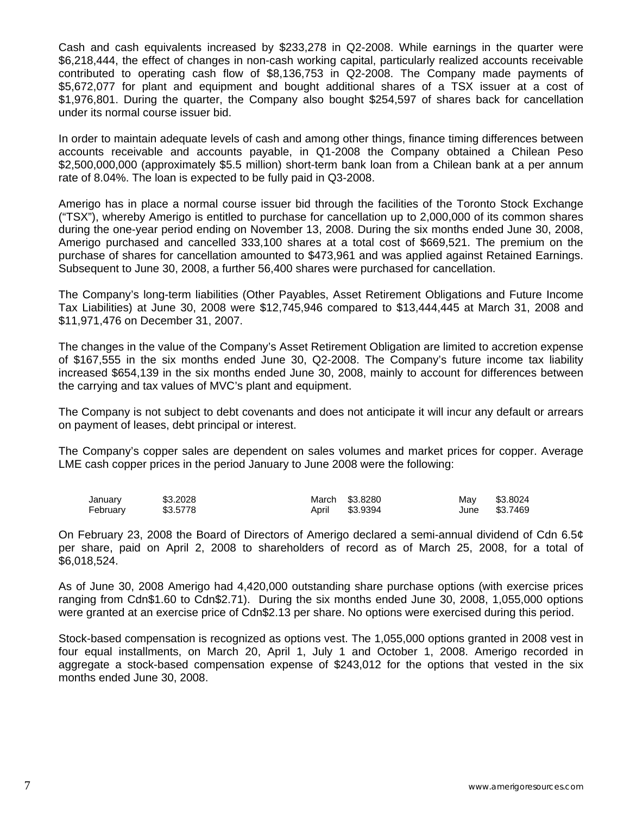Cash and cash equivalents increased by \$233,278 in Q2-2008. While earnings in the quarter were \$6,218,444, the effect of changes in non-cash working capital, particularly realized accounts receivable contributed to operating cash flow of \$8,136,753 in Q2-2008. The Company made payments of \$5,672,077 for plant and equipment and bought additional shares of a TSX issuer at a cost of \$1,976,801. During the quarter, the Company also bought \$254,597 of shares back for cancellation under its normal course issuer bid.

In order to maintain adequate levels of cash and among other things, finance timing differences between accounts receivable and accounts payable, in Q1-2008 the Company obtained a Chilean Peso \$2,500,000,000 (approximately \$5.5 million) short-term bank loan from a Chilean bank at a per annum rate of 8.04%. The loan is expected to be fully paid in Q3-2008.

Amerigo has in place a normal course issuer bid through the facilities of the Toronto Stock Exchange ("TSX"), whereby Amerigo is entitled to purchase for cancellation up to 2,000,000 of its common shares during the one-year period ending on November 13, 2008. During the six months ended June 30, 2008, Amerigo purchased and cancelled 333,100 shares at a total cost of \$669,521. The premium on the purchase of shares for cancellation amounted to \$473,961 and was applied against Retained Earnings. Subsequent to June 30, 2008, a further 56,400 shares were purchased for cancellation.

The Company's long-term liabilities (Other Payables, Asset Retirement Obligations and Future Income Tax Liabilities) at June 30, 2008 were \$12,745,946 compared to \$13,444,445 at March 31, 2008 and \$11,971,476 on December 31, 2007.

The changes in the value of the Company's Asset Retirement Obligation are limited to accretion expense of \$167,555 in the six months ended June 30, Q2-2008. The Company's future income tax liability increased \$654,139 in the six months ended June 30, 2008, mainly to account for differences between the carrying and tax values of MVC's plant and equipment.

The Company is not subject to debt covenants and does not anticipate it will incur any default or arrears on payment of leases, debt principal or interest.

The Company's copper sales are dependent on sales volumes and market prices for copper. Average LME cash copper prices in the period January to June 2008 were the following:

| January  | \$3,2028 | March \$3,8280 | Mav | \$3.8024      |
|----------|----------|----------------|-----|---------------|
| February | \$3.5778 | April \$3.9394 |     | June \$3.7469 |

On February 23, 2008 the Board of Directors of Amerigo declared a semi-annual dividend of Cdn 6.5¢ per share, paid on April 2, 2008 to shareholders of record as of March 25, 2008, for a total of \$6,018,524.

As of June 30, 2008 Amerigo had 4,420,000 outstanding share purchase options (with exercise prices ranging from Cdn\$1.60 to Cdn\$2.71). During the six months ended June 30, 2008, 1,055,000 options were granted at an exercise price of Cdn\$2.13 per share. No options were exercised during this period.

Stock-based compensation is recognized as options vest. The 1,055,000 options granted in 2008 vest in four equal installments, on March 20, April 1, July 1 and October 1, 2008. Amerigo recorded in aggregate a stock-based compensation expense of \$243,012 for the options that vested in the six months ended June 30, 2008.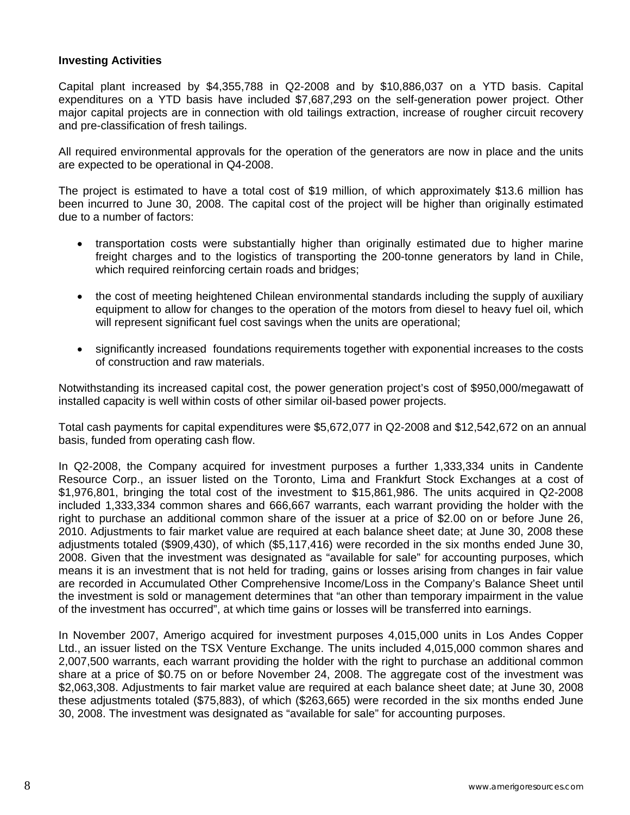## **Investing Activities**

Capital plant increased by \$4,355,788 in Q2-2008 and by \$10,886,037 on a YTD basis. Capital expenditures on a YTD basis have included \$7,687,293 on the self-generation power project. Other major capital projects are in connection with old tailings extraction, increase of rougher circuit recovery and pre-classification of fresh tailings.

All required environmental approvals for the operation of the generators are now in place and the units are expected to be operational in Q4-2008.

The project is estimated to have a total cost of \$19 million, of which approximately \$13.6 million has been incurred to June 30, 2008. The capital cost of the project will be higher than originally estimated due to a number of factors:

- transportation costs were substantially higher than originally estimated due to higher marine freight charges and to the logistics of transporting the 200-tonne generators by land in Chile, which required reinforcing certain roads and bridges;
- the cost of meeting heightened Chilean environmental standards including the supply of auxiliary equipment to allow for changes to the operation of the motors from diesel to heavy fuel oil, which will represent significant fuel cost savings when the units are operational;
- significantly increased foundations requirements together with exponential increases to the costs of construction and raw materials.

Notwithstanding its increased capital cost, the power generation project's cost of \$950,000/megawatt of installed capacity is well within costs of other similar oil-based power projects.

Total cash payments for capital expenditures were \$5,672,077 in Q2-2008 and \$12,542,672 on an annual basis, funded from operating cash flow.

In Q2-2008, the Company acquired for investment purposes a further 1,333,334 units in Candente Resource Corp., an issuer listed on the Toronto, Lima and Frankfurt Stock Exchanges at a cost of \$1,976,801, bringing the total cost of the investment to \$15,861,986. The units acquired in Q2-2008 included 1,333,334 common shares and 666,667 warrants, each warrant providing the holder with the right to purchase an additional common share of the issuer at a price of \$2.00 on or before June 26, 2010. Adjustments to fair market value are required at each balance sheet date; at June 30, 2008 these adjustments totaled (\$909,430), of which (\$5,117,416) were recorded in the six months ended June 30, 2008. Given that the investment was designated as "available for sale" for accounting purposes, which means it is an investment that is not held for trading, gains or losses arising from changes in fair value are recorded in Accumulated Other Comprehensive Income/Loss in the Company's Balance Sheet until the investment is sold or management determines that "an other than temporary impairment in the value of the investment has occurred", at which time gains or losses will be transferred into earnings.

In November 2007, Amerigo acquired for investment purposes 4,015,000 units in Los Andes Copper Ltd., an issuer listed on the TSX Venture Exchange. The units included 4,015,000 common shares and 2,007,500 warrants, each warrant providing the holder with the right to purchase an additional common share at a price of \$0.75 on or before November 24, 2008. The aggregate cost of the investment was \$2,063,308. Adjustments to fair market value are required at each balance sheet date; at June 30, 2008 these adjustments totaled (\$75,883), of which (\$263,665) were recorded in the six months ended June 30, 2008. The investment was designated as "available for sale" for accounting purposes.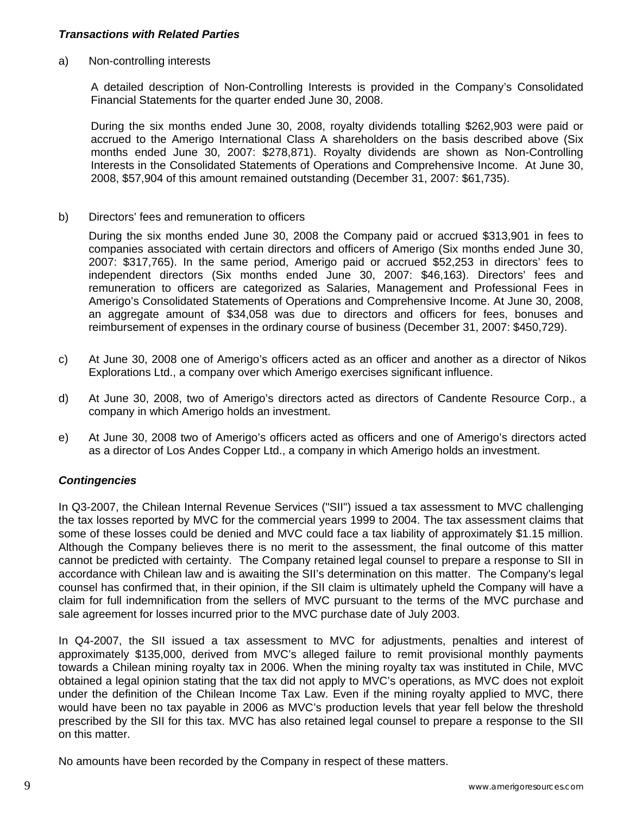## *Transactions with Related Parties*

a) Non-controlling interests

A detailed description of Non-Controlling Interests is provided in the Company's Consolidated Financial Statements for the quarter ended June 30, 2008.

During the six months ended June 30, 2008, royalty dividends totalling \$262,903 were paid or accrued to the Amerigo International Class A shareholders on the basis described above (Six months ended June 30, 2007: \$278,871). Royalty dividends are shown as Non-Controlling Interests in the Consolidated Statements of Operations and Comprehensive Income. At June 30, 2008, \$57,904 of this amount remained outstanding (December 31, 2007: \$61,735).

b) Directors' fees and remuneration to officers

 During the six months ended June 30, 2008 the Company paid or accrued \$313,901 in fees to companies associated with certain directors and officers of Amerigo (Six months ended June 30, 2007: \$317,765). In the same period, Amerigo paid or accrued \$52,253 in directors' fees to independent directors (Six months ended June 30, 2007: \$46,163). Directors' fees and remuneration to officers are categorized as Salaries, Management and Professional Fees in Amerigo's Consolidated Statements of Operations and Comprehensive Income. At June 30, 2008, an aggregate amount of \$34,058 was due to directors and officers for fees, bonuses and reimbursement of expenses in the ordinary course of business (December 31, 2007: \$450,729).

- c) At June 30, 2008 one of Amerigo's officers acted as an officer and another as a director of Nikos Explorations Ltd., a company over which Amerigo exercises significant influence.
- d) At June 30, 2008, two of Amerigo's directors acted as directors of Candente Resource Corp., a company in which Amerigo holds an investment.
- e) At June 30, 2008 two of Amerigo's officers acted as officers and one of Amerigo's directors acted as a director of Los Andes Copper Ltd., a company in which Amerigo holds an investment.

### *Contingencies*

In Q3-2007, the Chilean Internal Revenue Services ("SII") issued a tax assessment to MVC challenging the tax losses reported by MVC for the commercial years 1999 to 2004. The tax assessment claims that some of these losses could be denied and MVC could face a tax liability of approximately \$1.15 million. Although the Company believes there is no merit to the assessment, the final outcome of this matter cannot be predicted with certainty. The Company retained legal counsel to prepare a response to SII in accordance with Chilean law and is awaiting the SII's determination on this matter. The Company's legal counsel has confirmed that, in their opinion, if the SII claim is ultimately upheld the Company will have a claim for full indemnification from the sellers of MVC pursuant to the terms of the MVC purchase and sale agreement for losses incurred prior to the MVC purchase date of July 2003.

In Q4-2007, the SII issued a tax assessment to MVC for adjustments, penalties and interest of approximately \$135,000, derived from MVC's alleged failure to remit provisional monthly payments towards a Chilean mining royalty tax in 2006. When the mining royalty tax was instituted in Chile, MVC obtained a legal opinion stating that the tax did not apply to MVC's operations, as MVC does not exploit under the definition of the Chilean Income Tax Law. Even if the mining royalty applied to MVC, there would have been no tax payable in 2006 as MVC's production levels that year fell below the threshold prescribed by the SII for this tax. MVC has also retained legal counsel to prepare a response to the SII on this matter.

No amounts have been recorded by the Company in respect of these matters.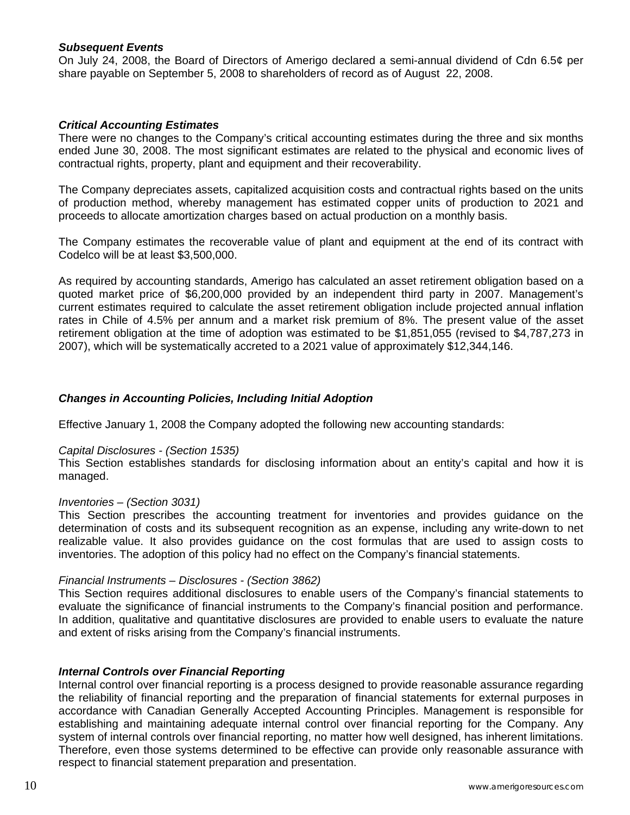### *Subsequent Events*

On July 24, 2008, the Board of Directors of Amerigo declared a semi-annual dividend of Cdn 6.5¢ per share payable on September 5, 2008 to shareholders of record as of August 22, 2008.

## *Critical Accounting Estimates*

There were no changes to the Company's critical accounting estimates during the three and six months ended June 30, 2008. The most significant estimates are related to the physical and economic lives of contractual rights, property, plant and equipment and their recoverability.

The Company depreciates assets, capitalized acquisition costs and contractual rights based on the units of production method, whereby management has estimated copper units of production to 2021 and proceeds to allocate amortization charges based on actual production on a monthly basis.

The Company estimates the recoverable value of plant and equipment at the end of its contract with Codelco will be at least \$3,500,000.

As required by accounting standards, Amerigo has calculated an asset retirement obligation based on a quoted market price of \$6,200,000 provided by an independent third party in 2007. Management's current estimates required to calculate the asset retirement obligation include projected annual inflation rates in Chile of 4.5% per annum and a market risk premium of 8%. The present value of the asset retirement obligation at the time of adoption was estimated to be \$1,851,055 (revised to \$4,787,273 in 2007), which will be systematically accreted to a 2021 value of approximately \$12,344,146.

### *Changes in Accounting Policies, Including Initial Adoption*

Effective January 1, 2008 the Company adopted the following new accounting standards:

### *Capital Disclosures - (Section 1535)*

This Section establishes standards for disclosing information about an entity's capital and how it is managed.

### *Inventories – (Section 3031)*

This Section prescribes the accounting treatment for inventories and provides guidance on the determination of costs and its subsequent recognition as an expense, including any write-down to net realizable value. It also provides guidance on the cost formulas that are used to assign costs to inventories. The adoption of this policy had no effect on the Company's financial statements.

### *Financial Instruments – Disclosures - (Section 3862)*

This Section requires additional disclosures to enable users of the Company's financial statements to evaluate the significance of financial instruments to the Company's financial position and performance. In addition, qualitative and quantitative disclosures are provided to enable users to evaluate the nature and extent of risks arising from the Company's financial instruments.

### *Internal Controls over Financial Reporting*

Internal control over financial reporting is a process designed to provide reasonable assurance regarding the reliability of financial reporting and the preparation of financial statements for external purposes in accordance with Canadian Generally Accepted Accounting Principles. Management is responsible for establishing and maintaining adequate internal control over financial reporting for the Company. Any system of internal controls over financial reporting, no matter how well designed, has inherent limitations. Therefore, even those systems determined to be effective can provide only reasonable assurance with respect to financial statement preparation and presentation.